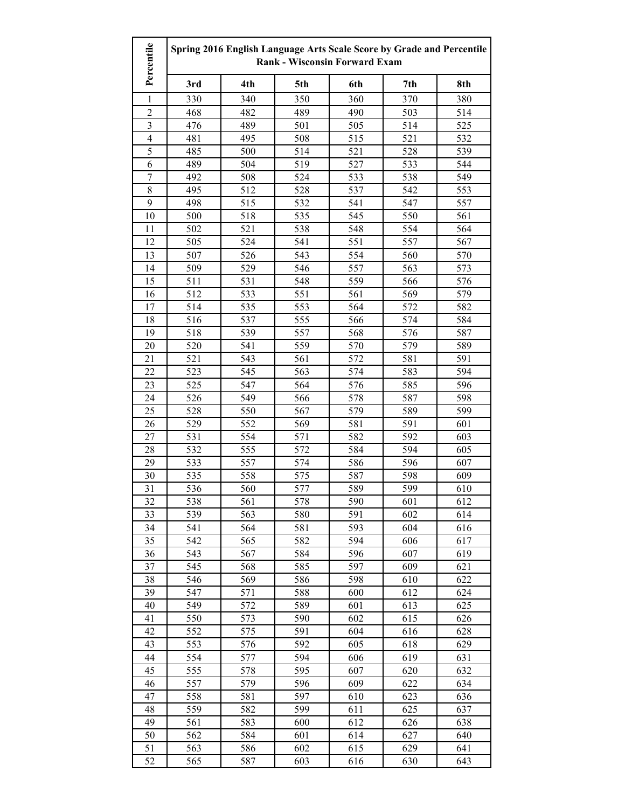| Percentile     | Spring 2016 English Language Arts Scale Score by Grade and Percentile<br><b>Rank - Wisconsin Forward Exam</b> |     |                  |     |     |     |
|----------------|---------------------------------------------------------------------------------------------------------------|-----|------------------|-----|-----|-----|
|                | 3rd                                                                                                           | 4th | 5th              | 6th | 7th | 8th |
| 1              | 330                                                                                                           | 340 | 350              | 360 | 370 | 380 |
| $\overline{2}$ | 468                                                                                                           | 482 | 489              | 490 | 503 | 514 |
| $\mathfrak{Z}$ | 476                                                                                                           | 489 | 501              | 505 | 514 | 525 |
| $\overline{4}$ | 481                                                                                                           | 495 | 508              | 515 | 521 | 532 |
| 5              | 485                                                                                                           | 500 | 514              | 521 | 528 | 539 |
| 6              | 489                                                                                                           | 504 | 519              | 527 | 533 | 544 |
| $\overline{7}$ | 492                                                                                                           | 508 | 524              | 533 | 538 | 549 |
| $\,$ 8 $\,$    | 495                                                                                                           | 512 | 528              | 537 | 542 | 553 |
| 9              | 498                                                                                                           | 515 | 532              | 541 | 547 | 557 |
| 10             | 500                                                                                                           | 518 | 535              | 545 | 550 | 561 |
| 11             | 502                                                                                                           | 521 | 538              | 548 | 554 | 564 |
| 12             | 505                                                                                                           | 524 | 541              | 551 | 557 | 567 |
| 13             | 507                                                                                                           | 526 | 543              | 554 | 560 | 570 |
| 14             | 509                                                                                                           | 529 | 546              | 557 | 563 | 573 |
| 15             | 511                                                                                                           | 531 | 548              | 559 | 566 | 576 |
| 16             | 512                                                                                                           | 533 | 551              | 561 | 569 | 579 |
| 17             | 514                                                                                                           | 535 | 553              | 564 | 572 | 582 |
| 18             | 516                                                                                                           | 537 | 555              | 566 | 574 | 584 |
| 19             | 518                                                                                                           | 539 | 557              | 568 | 576 | 587 |
| 20             | 520                                                                                                           | 541 | 559              | 570 | 579 | 589 |
| 21             | 521                                                                                                           | 543 | 561              | 572 | 581 | 591 |
| 22             | 523                                                                                                           | 545 | $\overline{563}$ | 574 | 583 | 594 |
| 23             | 525                                                                                                           | 547 | 564              | 576 | 585 | 596 |
| 24             | 526                                                                                                           | 549 | 566              | 578 | 587 | 598 |
| 25             | 528                                                                                                           | 550 | 567              | 579 | 589 | 599 |
| 26             | 529                                                                                                           | 552 | 569              | 581 | 591 | 601 |
| 27             | 531                                                                                                           | 554 | 571              | 582 | 592 | 603 |
| 28             | 532                                                                                                           | 555 | 572              | 584 | 594 | 605 |
| 29             | 533                                                                                                           | 557 | 574              | 586 | 596 | 607 |
| 30             | 535                                                                                                           | 558 | 575              | 587 | 598 | 609 |
| 31             | 536                                                                                                           | 560 | 577              | 589 | 599 | 610 |
| 32             | 538                                                                                                           | 561 | 578              | 590 | 601 | 612 |
| 33             | 539                                                                                                           | 563 | 580              | 591 | 602 | 614 |
| 34             | 541                                                                                                           | 564 | 581              | 593 | 604 | 616 |
| 35             | 542                                                                                                           | 565 | 582              | 594 | 606 | 617 |
| 36             | 543                                                                                                           | 567 | 584              | 596 | 607 | 619 |
| 37             | 545                                                                                                           | 568 | 585              | 597 | 609 | 621 |
| 38             | 546                                                                                                           | 569 | 586              | 598 | 610 | 622 |
| 39             | 547                                                                                                           | 571 | 588              | 600 | 612 | 624 |
| 40             | 549                                                                                                           | 572 | 589              | 601 | 613 | 625 |
| 41             | 550                                                                                                           | 573 | 590              | 602 | 615 | 626 |
| 42             | 552                                                                                                           | 575 | 591              | 604 | 616 | 628 |
| 43             | 553                                                                                                           | 576 | 592              | 605 | 618 | 629 |
| 44             | 554                                                                                                           | 577 | 594              | 606 | 619 | 631 |
| 45             | 555                                                                                                           | 578 | 595              | 607 | 620 | 632 |
| 46             | 557                                                                                                           | 579 | 596              | 609 | 622 | 634 |
| 47             | 558                                                                                                           | 581 | 597              | 610 | 623 | 636 |
| 48             | 559                                                                                                           | 582 | 599              | 611 | 625 | 637 |
| 49             | 561                                                                                                           | 583 | 600              | 612 | 626 | 638 |
| 50             | 562                                                                                                           | 584 | 601              | 614 | 627 | 640 |
| 51             | 563                                                                                                           | 586 | 602              | 615 | 629 | 641 |
| 52             | 565                                                                                                           | 587 | 603              | 616 | 630 | 643 |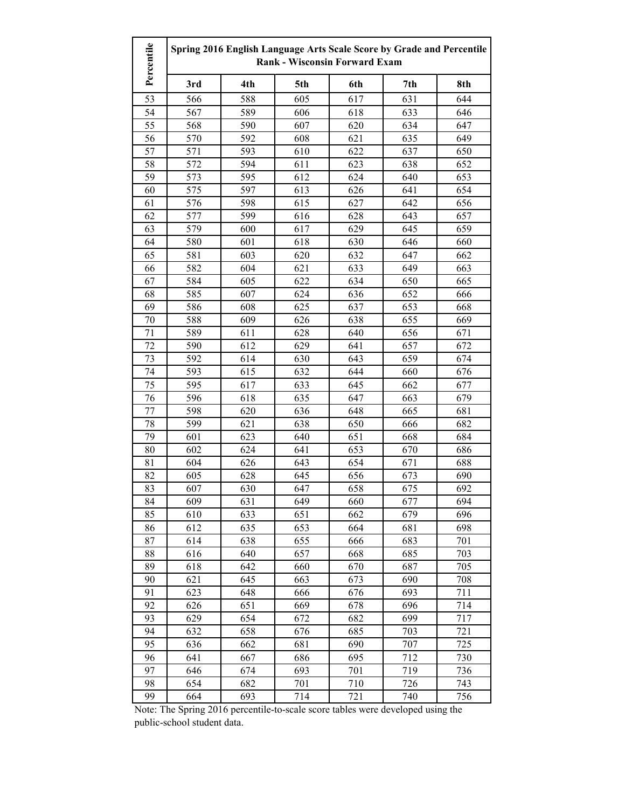| Percentile | Spring 2016 English Language Arts Scale Score by Grade and Percentile<br><b>Rank - Wisconsin Forward Exam</b> |     |     |     |     |     |
|------------|---------------------------------------------------------------------------------------------------------------|-----|-----|-----|-----|-----|
|            | 3rd                                                                                                           | 4th | 5th | 6th | 7th | 8th |
| 53         | 566                                                                                                           | 588 | 605 | 617 | 631 | 644 |
| 54         | 567                                                                                                           | 589 | 606 | 618 | 633 | 646 |
| 55         | 568                                                                                                           | 590 | 607 | 620 | 634 | 647 |
| 56         | 570                                                                                                           | 592 | 608 | 621 | 635 | 649 |
| 57         | 571                                                                                                           | 593 | 610 | 622 | 637 | 650 |
| 58         | 572                                                                                                           | 594 | 611 | 623 | 638 | 652 |
| 59         | 573                                                                                                           | 595 | 612 | 624 | 640 | 653 |
| 60         | 575                                                                                                           | 597 | 613 | 626 | 641 | 654 |
| 61         | 576                                                                                                           | 598 | 615 | 627 | 642 | 656 |
| 62         | 577                                                                                                           | 599 | 616 | 628 | 643 | 657 |
| 63         | 579                                                                                                           | 600 | 617 | 629 | 645 | 659 |
| 64         | 580                                                                                                           | 601 | 618 | 630 | 646 | 660 |
| 65         | 581                                                                                                           | 603 | 620 | 632 | 647 | 662 |
| 66         | 582                                                                                                           | 604 | 621 | 633 | 649 | 663 |
| 67         | 584                                                                                                           | 605 | 622 | 634 | 650 | 665 |
| 68         | 585                                                                                                           | 607 | 624 | 636 | 652 | 666 |
| 69         | 586                                                                                                           | 608 | 625 | 637 | 653 | 668 |
| 70         | 588                                                                                                           | 609 | 626 | 638 | 655 | 669 |
| 71         | 589                                                                                                           | 611 | 628 | 640 | 656 | 671 |
| 72         | 590                                                                                                           | 612 | 629 | 641 | 657 | 672 |
| 73         | 592                                                                                                           | 614 | 630 | 643 | 659 | 674 |
| 74         | 593                                                                                                           | 615 | 632 | 644 | 660 | 676 |
| 75         | 595                                                                                                           | 617 | 633 | 645 | 662 | 677 |
| 76         | 596                                                                                                           | 618 | 635 | 647 | 663 | 679 |
| 77         | 598                                                                                                           | 620 | 636 | 648 | 665 | 681 |
| 78         | 599                                                                                                           | 621 | 638 | 650 | 666 | 682 |
| 79         | 601                                                                                                           | 623 | 640 | 651 | 668 | 684 |
| 80         | 602                                                                                                           | 624 | 641 | 653 | 670 | 686 |
| 81         | 604                                                                                                           | 626 | 643 | 654 | 671 | 688 |
| 82         | 605                                                                                                           | 628 | 645 | 656 | 673 | 690 |
| 83         | 607                                                                                                           | 630 | 647 | 658 | 675 | 692 |
| 84         | 609                                                                                                           | 631 | 649 | 660 | 677 | 694 |
| 85         | 610                                                                                                           | 633 | 651 | 662 | 679 | 696 |
| 86         | 612                                                                                                           | 635 | 653 | 664 | 681 | 698 |
| 87         | 614                                                                                                           | 638 | 655 | 666 | 683 | 701 |
| 88         | 616                                                                                                           | 640 | 657 | 668 | 685 | 703 |
| 89         | 618                                                                                                           | 642 | 660 | 670 | 687 | 705 |
| 90         | 621                                                                                                           | 645 | 663 | 673 | 690 | 708 |
| 91         | 623                                                                                                           | 648 | 666 | 676 | 693 | 711 |
| 92         | 626                                                                                                           | 651 | 669 | 678 | 696 | 714 |
| 93         | 629                                                                                                           | 654 | 672 | 682 | 699 | 717 |
| 94         | 632                                                                                                           | 658 | 676 | 685 | 703 | 721 |
| 95         | 636                                                                                                           | 662 | 681 | 690 | 707 | 725 |
| 96         | 641                                                                                                           | 667 | 686 | 695 | 712 | 730 |
| 97         | 646                                                                                                           | 674 | 693 | 701 | 719 | 736 |
| 98         | 654                                                                                                           | 682 | 701 | 710 | 726 | 743 |
| 99         | 664                                                                                                           | 693 | 714 | 721 | 740 | 756 |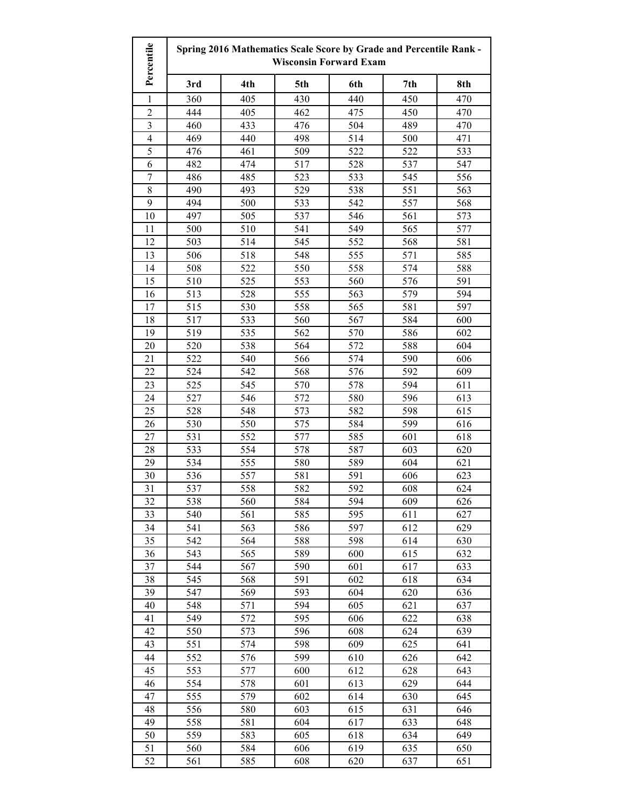| Percentile               | Spring 2016 Mathematics Scale Score by Grade and Percentile Rank -<br><b>Wisconsin Forward Exam</b> |            |            |            |            |            |
|--------------------------|-----------------------------------------------------------------------------------------------------|------------|------------|------------|------------|------------|
|                          | 3rd                                                                                                 | 4th        | 5th        | 6th        | 7th        | 8th        |
| 1                        | 360                                                                                                 | 405        | 430        | 440        | 450        | 470        |
| $\overline{c}$           | 444                                                                                                 | 405        | 462        | 475        | 450        | 470        |
| 3                        | 460                                                                                                 | 433        | 476        | 504        | 489        | 470        |
| $\overline{\mathcal{L}}$ | 469                                                                                                 | 440        | 498        | 514        | 500        | 471        |
| 5                        | 476                                                                                                 | 461        | 509        | 522        | 522        | 533        |
| 6                        | 482                                                                                                 | 474        | 517        | 528        | 537        | 547        |
| $\overline{7}$           | 486                                                                                                 | 485        | 523        | 533        | 545        | 556        |
| 8                        | 490                                                                                                 | 493        | 529        | 538        | 551        | 563        |
| 9                        | 494                                                                                                 | 500        | 533        | 542        | 557        | 568        |
| 10                       | 497                                                                                                 | 505        | 537        | 546        | 561        | 573        |
| 11                       | 500                                                                                                 | 510        | 541        | 549        | 565        | 577        |
| 12                       | 503                                                                                                 | 514        | 545        | 552        | 568        | 581        |
| 13                       | 506                                                                                                 | 518        | 548        | 555        | 571        | 585        |
| 14                       | 508                                                                                                 | 522        | 550        | 558        | 574        | 588        |
| 15                       | 510                                                                                                 | 525        | 553        | 560        | 576        | 591        |
| 16                       | 513                                                                                                 | 528        | 555        | 563        | 579        | 594        |
| 17                       | 515                                                                                                 | 530        | 558        | 565        | 581        | 597        |
| 18                       | 517                                                                                                 | 533        | 560        | 567        | 584        | 600        |
| 19                       | 519                                                                                                 | 535        | 562        | 570        | 586        | 602        |
| 20                       | 520                                                                                                 | 538        | 564        | 572        | 588        | 604        |
| 21                       | 522                                                                                                 | 540        | 566        | 574        | 590        | 606        |
| 22                       | 524                                                                                                 | 542        | 568        | 576        | 592        | 609        |
| 23                       | 525                                                                                                 | 545        | 570        | 578        | 594        | 611        |
| 24                       | 527                                                                                                 | 546        | 572        | 580        | 596        | 613        |
| 25                       | 528                                                                                                 | 548        | 573        | 582        | 598        | 615        |
| 26                       | 530                                                                                                 | 550        | 575        | 584        | 599        | 616        |
| 27                       | 531                                                                                                 | 552        | 577        | 585        | 601        | 618        |
| 28                       | 533                                                                                                 | 554        | 578        | 587        | 603        | 620        |
| 29                       | 534                                                                                                 | 555        | 580        | 589        | 604        | 621        |
| 30                       | 536                                                                                                 | 557        | 581        | 591        | 606        | 623        |
| 31                       | 537                                                                                                 | 558        | 582        | 592        | 608        | 624        |
| 32                       | 538                                                                                                 | 560        | 584        | 594        | 609        | 626        |
| 33<br>34                 | 540<br>541                                                                                          | 561<br>563 | 585<br>586 | 595<br>597 | 611<br>612 | 627<br>629 |
| 35                       | 542                                                                                                 | 564        | 588        | 598        | 614        | 630        |
| 36                       | 543                                                                                                 | 565        | 589        | 600        | 615        | 632        |
| 37                       | 544                                                                                                 | 567        | 590        | 601        | 617        | 633        |
| 38                       | 545                                                                                                 | 568        | 591        | 602        | 618        | 634        |
| 39                       | 547                                                                                                 | 569        | 593        | 604        | 620        | 636        |
| 40                       | 548                                                                                                 | 571        | 594        | 605        | 621        | 637        |
| 41                       | 549                                                                                                 | 572        | 595        | 606        | 622        | 638        |
| 42                       | 550                                                                                                 | 573        | 596        | 608        | 624        | 639        |
| 43                       | 551                                                                                                 | 574        | 598        | 609        | 625        | 641        |
| 44                       | 552                                                                                                 | 576        | 599        | 610        | 626        | 642        |
| 45                       | 553                                                                                                 | 577        | 600        | 612        | 628        | 643        |
| 46                       | 554                                                                                                 | 578        | 601        | 613        | 629        | 644        |
| 47                       | 555                                                                                                 | 579        | 602        | 614        | 630        | 645        |
| 48                       | 556                                                                                                 | 580        | 603        | 615        | 631        | 646        |
| 49                       | 558                                                                                                 | 581        | 604        | 617        | 633        | 648        |
| 50                       | 559                                                                                                 | 583        | 605        | 618        | 634        | 649        |
| 51                       | 560                                                                                                 | 584        | 606        | 619        | 635        | 650        |
| 52                       | 561                                                                                                 | 585        | 608        | 620        | 637        | 651        |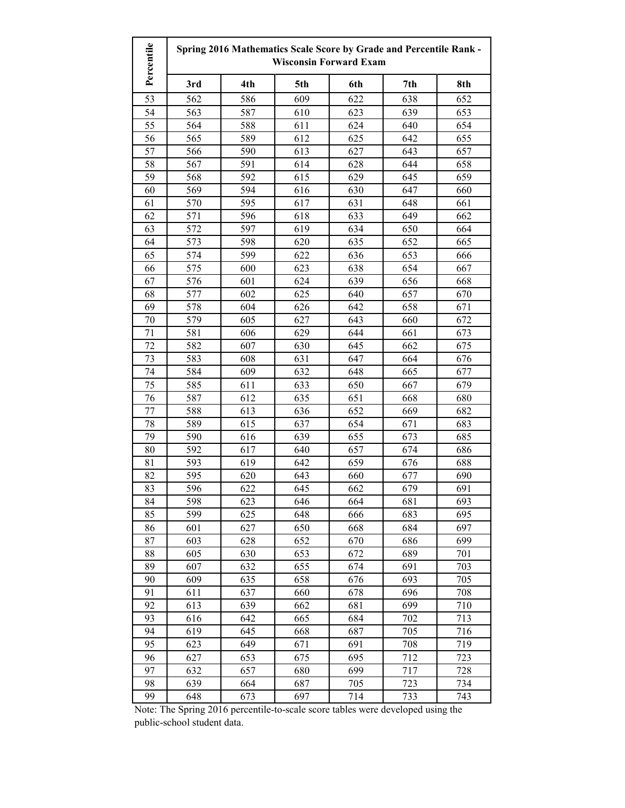| Percentile | Spring 2016 Mathematics Scale Score by Grade and Percentile Rank -<br><b>Wisconsin Forward Exam</b> |     |     |     |     |     |
|------------|-----------------------------------------------------------------------------------------------------|-----|-----|-----|-----|-----|
|            | 3rd                                                                                                 | 4th | 5th | 6th | 7th | 8th |
| 53         | 562                                                                                                 | 586 | 609 | 622 | 638 | 652 |
| 54         | 563                                                                                                 | 587 | 610 | 623 | 639 | 653 |
| 55         | 564                                                                                                 | 588 | 611 | 624 | 640 | 654 |
| 56         | 565                                                                                                 | 589 | 612 | 625 | 642 | 655 |
| 57         | 566                                                                                                 | 590 | 613 | 627 | 643 | 657 |
| 58         | 567                                                                                                 | 591 | 614 | 628 | 644 | 658 |
| 59         | 568                                                                                                 | 592 | 615 | 629 | 645 | 659 |
| 60         | 569                                                                                                 | 594 | 616 | 630 | 647 | 660 |
| 61         | 570                                                                                                 | 595 | 617 | 631 | 648 | 661 |
| 62         | 571                                                                                                 | 596 | 618 | 633 | 649 | 662 |
| 63         | 572                                                                                                 | 597 | 619 | 634 | 650 | 664 |
| 64         | 573                                                                                                 | 598 | 620 | 635 | 652 | 665 |
| 65         | 574                                                                                                 | 599 | 622 | 636 | 653 | 666 |
| 66         | 575                                                                                                 | 600 | 623 | 638 | 654 | 667 |
| 67         | 576                                                                                                 | 601 | 624 | 639 | 656 | 668 |
| 68         | 577                                                                                                 | 602 | 625 | 640 | 657 | 670 |
| 69         | 578                                                                                                 | 604 | 626 | 642 | 658 | 671 |
| 70         | 579                                                                                                 | 605 | 627 | 643 | 660 | 672 |
| 71         | 581                                                                                                 | 606 | 629 | 644 | 661 | 673 |
| 72         | 582                                                                                                 | 607 | 630 | 645 | 662 | 675 |
| 73         | 583                                                                                                 | 608 | 631 | 647 | 664 | 676 |
| 74         | 584                                                                                                 | 609 | 632 | 648 | 665 | 677 |
| 75         | 585                                                                                                 | 611 | 633 | 650 | 667 | 679 |
| 76         | 587                                                                                                 | 612 | 635 | 651 | 668 | 680 |
| 77         | 588                                                                                                 | 613 | 636 | 652 | 669 | 682 |
| 78         | 589                                                                                                 | 615 | 637 | 654 | 671 | 683 |
| 79         | 590                                                                                                 | 616 | 639 | 655 | 673 | 685 |
| 80         | 592                                                                                                 | 617 | 640 | 657 | 674 | 686 |
| 81         | 593                                                                                                 | 619 | 642 | 659 | 676 | 688 |
| 82         | 595                                                                                                 | 620 | 643 | 660 | 677 | 690 |
| 83         | 596                                                                                                 | 622 | 645 | 662 | 679 | 691 |
| 84         | 598                                                                                                 | 623 | 646 | 664 | 681 | 693 |
| 85         | 599                                                                                                 | 625 | 648 | 666 | 683 | 695 |
| 86         | 601                                                                                                 | 627 | 650 | 668 | 684 | 697 |
| 87         | 603                                                                                                 | 628 | 652 | 670 | 686 | 699 |
| 88         | 605                                                                                                 | 630 | 653 | 672 | 689 | 701 |
| 89         | 607                                                                                                 | 632 | 655 | 674 | 691 | 703 |
| 90         | 609                                                                                                 | 635 | 658 | 676 | 693 | 705 |
| 91         | 611                                                                                                 | 637 | 660 | 678 | 696 | 708 |
| 92         | 613                                                                                                 | 639 | 662 | 681 | 699 | 710 |
| 93         | 616                                                                                                 | 642 | 665 | 684 | 702 | 713 |
| 94         | 619                                                                                                 | 645 | 668 | 687 | 705 | 716 |
| 95         | 623                                                                                                 | 649 | 671 | 691 | 708 | 719 |
| 96         | 627                                                                                                 | 653 | 675 | 695 | 712 | 723 |
| 97         | 632                                                                                                 | 657 | 680 | 699 | 717 | 728 |
| 98         | 639                                                                                                 | 664 | 687 | 705 | 723 | 734 |
| 99         | 648                                                                                                 | 673 | 697 | 714 | 733 | 743 |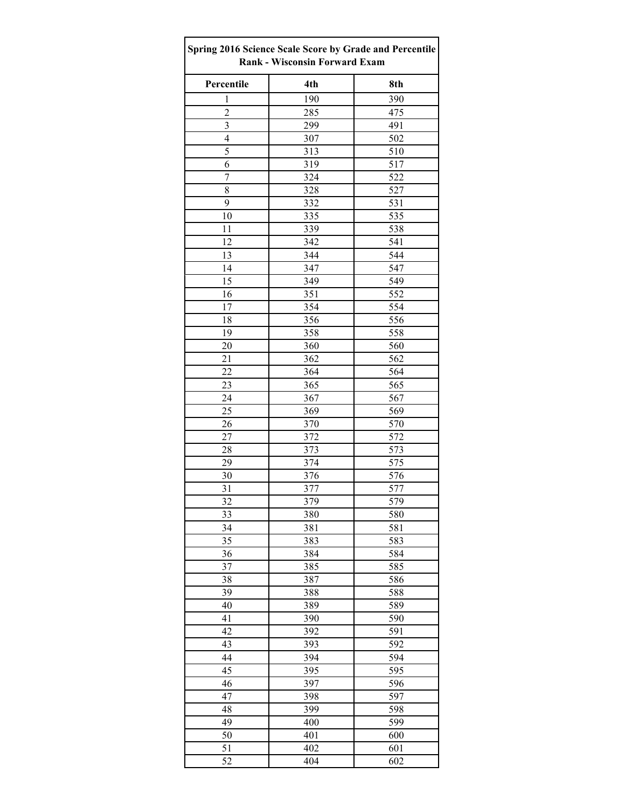| Spring 2016 Science Scale Score by Grade and Percentile<br><b>Rank - Wisconsin Forward Exam</b> |            |            |  |  |  |
|-------------------------------------------------------------------------------------------------|------------|------------|--|--|--|
| Percentile                                                                                      | 4th        | 8th        |  |  |  |
| $\mathbf{1}$                                                                                    | 190        | 390        |  |  |  |
| $\overline{c}$                                                                                  | 285        | 475        |  |  |  |
| 3                                                                                               | 299        | 491        |  |  |  |
| 4                                                                                               | 307        | 502        |  |  |  |
| 5                                                                                               | 313        | 510        |  |  |  |
| 6                                                                                               | 319        | 517        |  |  |  |
| $\overline{7}$                                                                                  | 324        | 522        |  |  |  |
| 8                                                                                               | 328        | 527        |  |  |  |
| 9                                                                                               | 332        | 531        |  |  |  |
| 10                                                                                              | 335        | 535        |  |  |  |
| 11                                                                                              | 339        | 538        |  |  |  |
| 12                                                                                              | 342        | 541        |  |  |  |
| 13                                                                                              | 344        | 544        |  |  |  |
| 14                                                                                              | 347        | 547        |  |  |  |
| 15                                                                                              | 349        | 549        |  |  |  |
| 16                                                                                              | 351        | 552        |  |  |  |
| 17                                                                                              | 354        | 554        |  |  |  |
| 18                                                                                              | 356        | 556        |  |  |  |
| 19                                                                                              | 358        | 558        |  |  |  |
| 20                                                                                              | 360        | 560        |  |  |  |
| 21                                                                                              | 362        | 562        |  |  |  |
| 22                                                                                              | 364        | 564        |  |  |  |
| 23                                                                                              | 365        | 565        |  |  |  |
| 24                                                                                              | 367        | 567        |  |  |  |
| 25                                                                                              | 369        | 569        |  |  |  |
| 26                                                                                              | 370        | 570        |  |  |  |
| 27                                                                                              | 372        | 572        |  |  |  |
| 28                                                                                              | 373        | 573        |  |  |  |
| 29                                                                                              | 374        | 575        |  |  |  |
| 30                                                                                              | 376        | 576        |  |  |  |
| 31                                                                                              | 377        | 577        |  |  |  |
| 32                                                                                              | 379        | 579        |  |  |  |
| $\overline{33}$                                                                                 | 380        | 580        |  |  |  |
| 34                                                                                              | 381        | 581        |  |  |  |
| 35                                                                                              | 383        | 583        |  |  |  |
| 36                                                                                              | 384        | 584        |  |  |  |
| 37                                                                                              | 385        | 585        |  |  |  |
| 38                                                                                              | 387        | 586        |  |  |  |
| 39                                                                                              | 388        | 588        |  |  |  |
| 40                                                                                              | 389        | 589        |  |  |  |
| 41                                                                                              | 390        | 590        |  |  |  |
| 42                                                                                              | 392        | 591        |  |  |  |
| 43                                                                                              | 393        | 592        |  |  |  |
| 44                                                                                              | 394        | 594        |  |  |  |
| 45<br>46                                                                                        | 395<br>397 | 595<br>596 |  |  |  |
| 47                                                                                              | 398        | 597        |  |  |  |
| 48                                                                                              | 399        | 598        |  |  |  |
| 49                                                                                              | 400        | 599        |  |  |  |
| 50                                                                                              | 401        | 600        |  |  |  |
| 51                                                                                              | 402        | 601        |  |  |  |
| 52                                                                                              | 404        | 602        |  |  |  |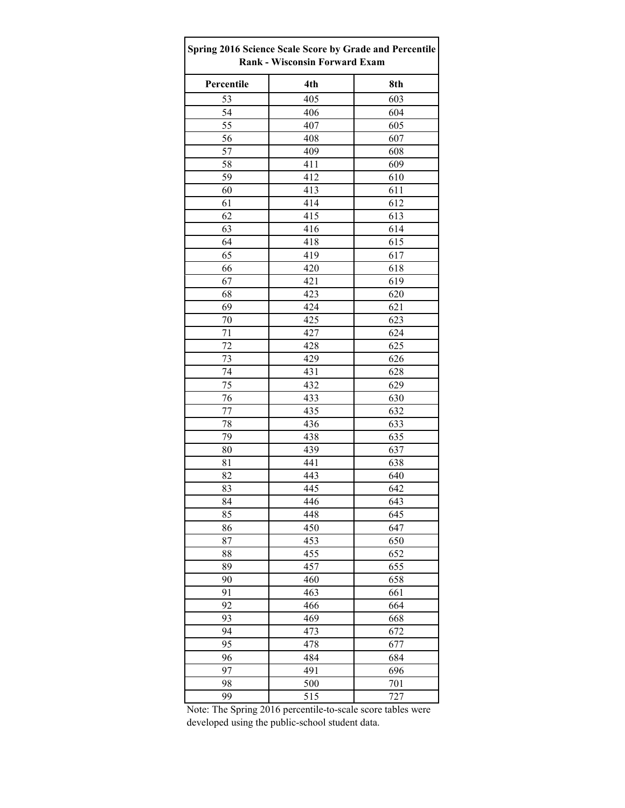| Spring 2016 Science Scale Score by Grade and Percentile<br><b>Rank - Wisconsin Forward Exam</b> |     |     |  |  |  |
|-------------------------------------------------------------------------------------------------|-----|-----|--|--|--|
| Percentile                                                                                      | 4th | 8th |  |  |  |
| 53                                                                                              | 405 | 603 |  |  |  |
| 54                                                                                              | 406 | 604 |  |  |  |
| 55                                                                                              | 407 | 605 |  |  |  |
| 56                                                                                              | 408 | 607 |  |  |  |
| 57                                                                                              | 409 | 608 |  |  |  |
| 58                                                                                              | 411 | 609 |  |  |  |
| 59                                                                                              | 412 | 610 |  |  |  |
| 60                                                                                              | 413 | 611 |  |  |  |
| 61                                                                                              | 414 | 612 |  |  |  |
| 62                                                                                              | 415 | 613 |  |  |  |
| 63                                                                                              | 416 | 614 |  |  |  |
| 64                                                                                              | 418 | 615 |  |  |  |
| 65                                                                                              | 419 | 617 |  |  |  |
| 66                                                                                              | 420 | 618 |  |  |  |
| 67                                                                                              | 421 | 619 |  |  |  |
| 68                                                                                              | 423 | 620 |  |  |  |
| 69                                                                                              | 424 | 621 |  |  |  |
| 70                                                                                              | 425 | 623 |  |  |  |
| 71                                                                                              | 427 | 624 |  |  |  |
| 72                                                                                              | 428 | 625 |  |  |  |
| 73                                                                                              | 429 | 626 |  |  |  |
| 74                                                                                              | 431 | 628 |  |  |  |
| 75                                                                                              | 432 | 629 |  |  |  |
| 76                                                                                              | 433 | 630 |  |  |  |
| 77                                                                                              | 435 | 632 |  |  |  |
| 78                                                                                              | 436 | 633 |  |  |  |
| 79                                                                                              | 438 | 635 |  |  |  |
| 80                                                                                              | 439 | 637 |  |  |  |
| 81                                                                                              | 441 | 638 |  |  |  |
| 82                                                                                              | 443 | 640 |  |  |  |
| 83                                                                                              | 445 | 642 |  |  |  |
| 84                                                                                              | 446 | 643 |  |  |  |
| 85                                                                                              | 448 | 645 |  |  |  |
| 86                                                                                              | 450 | 647 |  |  |  |
| 87                                                                                              | 453 | 650 |  |  |  |
| 88                                                                                              | 455 | 652 |  |  |  |
| 89                                                                                              | 457 | 655 |  |  |  |
| 90                                                                                              | 460 | 658 |  |  |  |
| 91                                                                                              | 463 | 661 |  |  |  |
| 92                                                                                              | 466 | 664 |  |  |  |
| 93                                                                                              | 469 | 668 |  |  |  |
| 94                                                                                              | 473 | 672 |  |  |  |
| 95                                                                                              | 478 | 677 |  |  |  |
| 96                                                                                              | 484 | 684 |  |  |  |
| 97                                                                                              | 491 | 696 |  |  |  |
| 98                                                                                              | 500 | 701 |  |  |  |
| 99                                                                                              | 515 | 727 |  |  |  |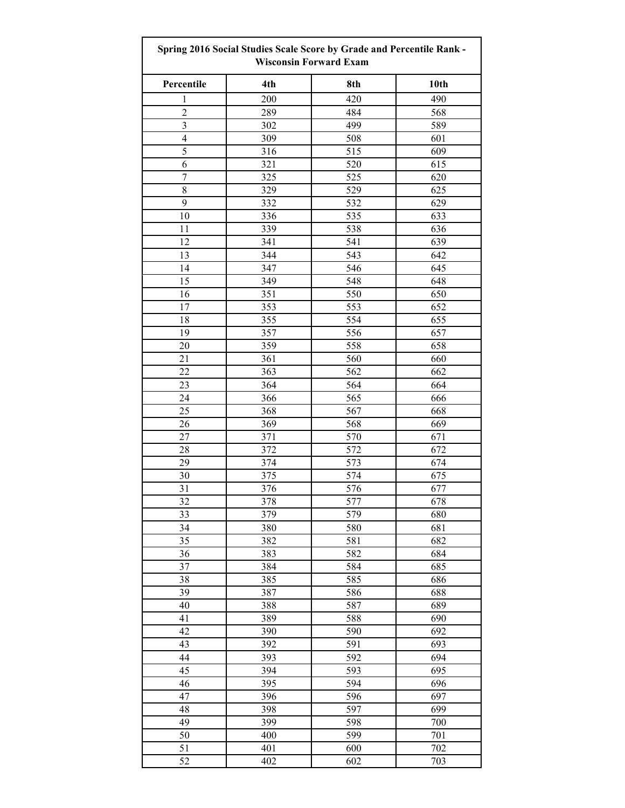| Spring 2016 Social Studies Scale Score by Grade and Percentile Rank -<br><b>Wisconsin Forward Exam</b> |     |     |      |  |
|--------------------------------------------------------------------------------------------------------|-----|-----|------|--|
| Percentile                                                                                             | 4th | 8th | 10th |  |
| 1                                                                                                      | 200 | 420 | 490  |  |
| $\overline{2}$                                                                                         | 289 | 484 | 568  |  |
| 3                                                                                                      | 302 | 499 | 589  |  |
| $\overline{4}$                                                                                         | 309 | 508 | 601  |  |
| 5                                                                                                      | 316 | 515 | 609  |  |
| 6                                                                                                      | 321 | 520 | 615  |  |
| $\boldsymbol{7}$                                                                                       | 325 | 525 | 620  |  |
| 8                                                                                                      | 329 | 529 | 625  |  |
| 9                                                                                                      | 332 | 532 | 629  |  |
| 10                                                                                                     | 336 | 535 | 633  |  |
| 11                                                                                                     | 339 | 538 | 636  |  |
| 12                                                                                                     | 341 | 541 | 639  |  |
| 13                                                                                                     | 344 | 543 | 642  |  |
| 14                                                                                                     | 347 | 546 | 645  |  |
| 15                                                                                                     | 349 | 548 | 648  |  |
| 16                                                                                                     | 351 | 550 | 650  |  |
| 17                                                                                                     | 353 | 553 | 652  |  |
| 18                                                                                                     | 355 | 554 | 655  |  |
| 19                                                                                                     | 357 | 556 | 657  |  |
| 20                                                                                                     | 359 | 558 | 658  |  |
| 21                                                                                                     | 361 | 560 | 660  |  |
| 22                                                                                                     | 363 | 562 | 662  |  |
| 23                                                                                                     | 364 | 564 | 664  |  |
| 24                                                                                                     | 366 | 565 | 666  |  |
| 25                                                                                                     | 368 | 567 | 668  |  |
| 26                                                                                                     | 369 | 568 | 669  |  |
| 27                                                                                                     | 371 | 570 | 671  |  |
| 28                                                                                                     |     | 572 | 672  |  |
|                                                                                                        | 372 |     |      |  |
| 29                                                                                                     | 374 | 573 | 674  |  |
| 30                                                                                                     | 375 | 574 | 675  |  |
| 31                                                                                                     | 376 | 576 | 677  |  |
| 32                                                                                                     | 378 | 577 | 678  |  |
| 33                                                                                                     | 379 | 579 | 680  |  |
| 34                                                                                                     | 380 | 580 | 681  |  |
| 35                                                                                                     | 382 | 581 | 682  |  |
| 36                                                                                                     | 383 | 582 | 684  |  |
| 37                                                                                                     | 384 | 584 | 685  |  |
| 38                                                                                                     | 385 | 585 | 686  |  |
| 39                                                                                                     | 387 | 586 | 688  |  |
| 40                                                                                                     | 388 | 587 | 689  |  |
| 41                                                                                                     | 389 | 588 | 690  |  |
| 42                                                                                                     | 390 | 590 | 692  |  |
| 43                                                                                                     | 392 | 591 | 693  |  |
| 44                                                                                                     | 393 | 592 | 694  |  |
| 45                                                                                                     | 394 | 593 | 695  |  |
| 46                                                                                                     | 395 | 594 | 696  |  |
| 47                                                                                                     | 396 | 596 | 697  |  |
| 48                                                                                                     | 398 | 597 | 699  |  |
| 49                                                                                                     | 399 | 598 | 700  |  |
| 50                                                                                                     | 400 | 599 | 701  |  |
| 51                                                                                                     | 401 | 600 | 702  |  |
| 52                                                                                                     | 402 | 602 | 703  |  |